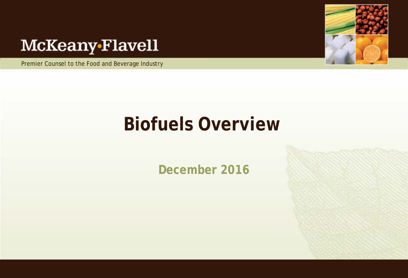# McKeany-Flavell

Premier Counsel to the Food and Beverage Industry



# **Biofuels Overview**

**December 2016**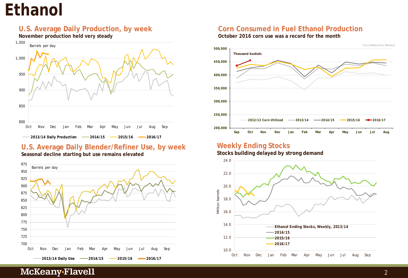# **Ethanol**

### **U.S. Average Daily Production, by week**

**November production held very steady**



# **U.S. Average Daily Blender/Refiner Use, by week**



#### **Seasonal decline starting but use remains elevated**

### **Corn Consumed in Fuel Ethanol Production**

**October 2016 corn use was a record for the month** 



### **Weekly Ending Stocks**

#### **Stocks building delayed by strong demand**

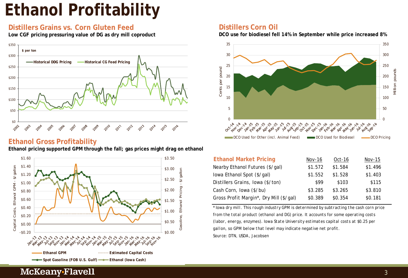# **Ethanol Profitability**

# **Distillers Grains vs. Corn Gluten Feed**

**Low CGF pricing pressuring value of DG as dry mill coproduct**



#### **Ethanol Gross Profitability Ethanol pricing supported GPM through the fall; gas prices might drag on ethanol**



#### **Distillers Corn Oil**

**DCO use for biodiesel fell 14% in September while price increased 8%**



| <b>Ethanol Market Pricing</b>           | Nov-16  | Oct-16  | Nov-15  |
|-----------------------------------------|---------|---------|---------|
| Nearby Ethanol Futures (\$/gal)         | \$1.572 | \$1.584 | \$1.496 |
| lowa Ethanol Spot (\$/gal)              | \$1.552 | \$1.528 | \$1.403 |
| Distillers Grains, Iowa (\$/ton)        | \$99    | \$103   | \$115   |
| Cash Corn, Iowa (\$/bu)                 | \$3.285 | \$3.265 | \$3.810 |
| Gross Profit Margin*, Dry Mill (\$/gal) | \$0.389 | \$0.354 | \$0.181 |

*Source: DTN, USDA, Jacobsen \* Iowa dry mill. This rough industry GPM is determined by subtracting the cash corn price from the total product (ethanol and DG) price. It accounts for some operating costs (labor, energy, enzymes). Iowa State University estimates capital costs at \$0.25 per gallon, so GPM below that level may indicate negative net profit.*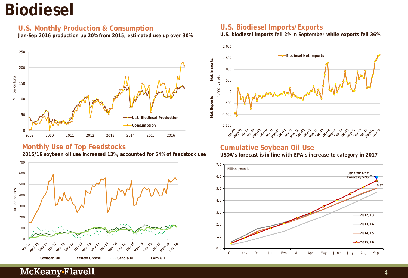# **Biodiesel**

### **U.S. Monthly Production & Consumption**

**Jan-Sep 2016 production up 20% from 2015, estimated use up over 30%**



# **Monthly Use of Top Feedstocks**

**2015/16 soybean oil use increased 13%, accounted for 54% of feedstock use**



# **U.S. Biodiesel Imports/Exports**

**U.S. biodiesel imports fell 2% in September while exports fell 36%**



### **Cumulative Soybean Oil Use**

**USDA's forecast is in line with EPA's increase to category in 2017**